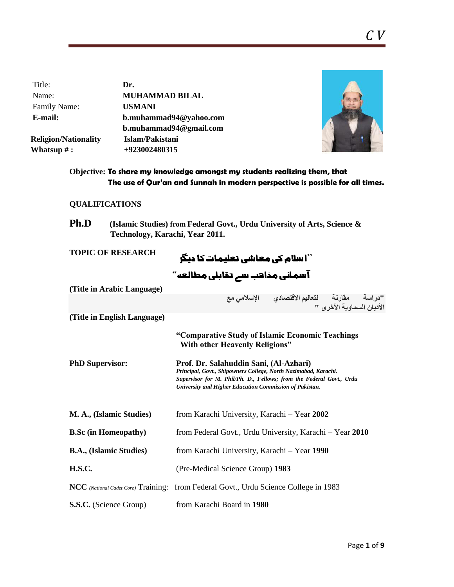| Title:                      | Dr.                    |  |
|-----------------------------|------------------------|--|
| Name:                       | <b>MUHAMMAD BILAL</b>  |  |
| Family Name:                | <b>USMANI</b>          |  |
| E-mail:                     | b.muhammad94@yahoo.com |  |
|                             | b.muhammad94@gmail.com |  |
| <b>Religion/Nationality</b> | Islam/Pakistani        |  |
| Whatsup $#$ :               | +923002480315          |  |

# **Objective: To share my knowledge amongst my students realizing them, that The use of Qur'an and Sunnah in modern perspective is possible for all times.**

# **QUALIFICATIONS**

| (Islamic Studies) from Federal Govt., Urdu University of Arts, Science & |
|--------------------------------------------------------------------------|
| Technology, Karachi, Year 2011.                                          |
|                                                                          |

| <b>TOPIC OF RESEARCH</b>       | ''ا سلام کی معاشی تعلیمات کا دیگر<br>آسمانی مذاہب سے تقابلی مطالعہ''                                                                                                                                                                         |  |
|--------------------------------|----------------------------------------------------------------------------------------------------------------------------------------------------------------------------------------------------------------------------------------------|--|
|                                |                                                                                                                                                                                                                                              |  |
| (Title in Arabic Language)     |                                                                                                                                                                                                                                              |  |
|                                | "دراسة      مقارنـة       لتعاليم الاقتصادي       الإسلامي مع<br>الأديان السماوية الأخرى "                                                                                                                                                   |  |
| (Title in English Language)    |                                                                                                                                                                                                                                              |  |
|                                | "Comparative Study of Islamic Economic Teachings<br><b>With other Heavenly Religions"</b>                                                                                                                                                    |  |
| <b>PhD Supervisor:</b>         | Prof. Dr. Salahuddin Sani, (Al-Azhari)<br>Principal, Govt., Shipowners College, North Nazimabad, Karachi.<br>Supervisor for M. Phil/Ph. D., Fellows; from the Federal Govt., Urdu<br>University and Higher Education Commission of Pakistan. |  |
| M. A., (Islamic Studies)       | from Karachi University, Karachi - Year 2002                                                                                                                                                                                                 |  |
| <b>B.Sc</b> (in Homeopathy)    | from Federal Govt., Urdu University, Karachi – Year 2010                                                                                                                                                                                     |  |
| <b>B.A., (Islamic Studies)</b> | from Karachi University, Karachi - Year 1990                                                                                                                                                                                                 |  |
| <b>H.S.C.</b>                  | (Pre-Medical Science Group) 1983                                                                                                                                                                                                             |  |
|                                | <b>NCC</b> (National Cadet Core) Training: from Federal Govt., Urdu Science College in 1983                                                                                                                                                  |  |
| <b>S.S.C.</b> (Science Group)  | from Karachi Board in 1980                                                                                                                                                                                                                   |  |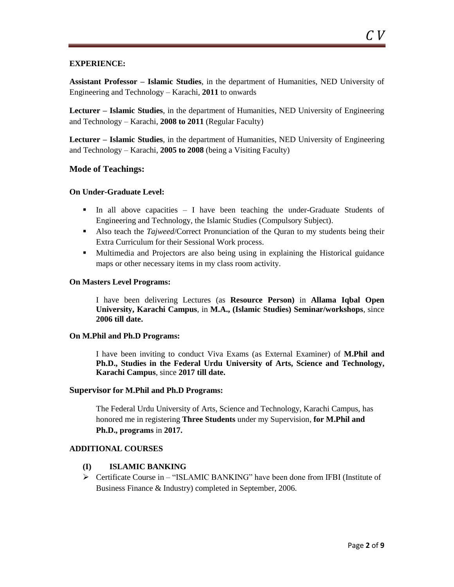### **EXPERIENCE:**

**Assistant Professor – Islamic Studies**, in the department of Humanities, NED University of Engineering and Technology – Karachi, **2011** to onwards

**Lecturer – Islamic Studies**, in the department of Humanities, NED University of Engineering and Technology – Karachi, **2008 to 2011** (Regular Faculty)

**Lecturer – Islamic Studies**, in the department of Humanities, NED University of Engineering and Technology – Karachi, **2005 to 2008** (being a Visiting Faculty)

### **Mode of Teachings:**

### **On Under-Graduate Level:**

- In all above capacities I have been teaching the under-Graduate Students of Engineering and Technology, the Islamic Studies (Compulsory Subject).
- Also teach the *Tajweed*/Correct Pronunciation of the Quran to my students being their Extra Curriculum for their Sessional Work process.
- Multimedia and Projectors are also being using in explaining the Historical guidance maps or other necessary items in my class room activity.

#### **On Masters Level Programs:**

I have been delivering Lectures (as **Resource Person)** in **Allama Iqbal Open University, Karachi Campus**, in **M.A., (Islamic Studies) Seminar/workshops**, since **2006 till date.**

#### **On M.Phil and Ph.D Programs:**

I have been inviting to conduct Viva Exams (as External Examiner) of **M.Phil and Ph.D., Studies in the Federal Urdu University of Arts, Science and Technology, Karachi Campus**, since **2017 till date.**

#### **Supervisor for M.Phil and Ph.D Programs:**

The Federal Urdu University of Arts, Science and Technology, Karachi Campus, has honored me in registering **Three Students** under my Supervision, **for M.Phil and Ph.D., programs** in **2017.**

#### **ADDITIONAL COURSES**

#### **(I) ISLAMIC BANKING**

 Certificate Course in – "ISLAMIC BANKING" have been done from IFBI (Institute of Business Finance & Industry) completed in September, 2006.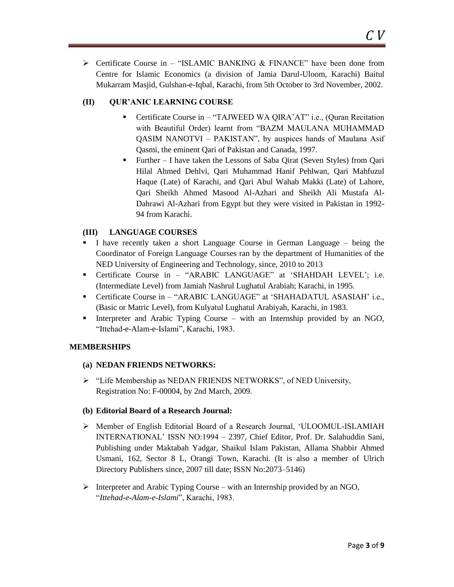$\triangleright$  Certificate Course in – "ISLAMIC BANKING & FINANCE" have been done from Centre for Islamic Economics (a division of Jamia Darul-Uloom, Karachi) Baitul Mukarram Masjid, Gulshan-e-Iqbal, Karachi, from 5th October to 3rd November, 2002.

## **(II) QUR'ANIC LEARNING COURSE**

- Certificate Course in "TAJWEED WA QIRA"AT" i.e., (Quran Recitation with Beautiful Order) learnt from "BAZM MAULANA MUHAMMAD QASIM NANOTVI – PAKISTAN", by auspices hands of Maulana Asif Qasmi, the eminent Qari of Pakistan and Canada, 1997.
- Further I have taken the Lessons of Saba Qirat (Seven Styles) from Qari Hilal Ahmed Dehlvi, Qari Muhammad Hanif Pehlwan, Qari Mahfuzul Haque (Late) of Karachi, and Qari Abul Wahab Makki (Late) of Lahore, Qari Sheikh Ahmed Masood Al-Azhari and Sheikh Ali Mustafa Al-Dahrawi Al-Azhari from Egypt but they were visited in Pakistan in 1992- 94 from Karachi.

## **(III) LANGUAGE COURSES**

- I have recently taken a short Language Course in German Language being the Coordinator of Foreign Language Courses ran by the department of Humanities of the NED University of Engineering and Technology, since, 2010 to 2013
- Certificate Course in "ARABIC LANGUAGE" at "SHAHDAH LEVEL"; i.e. (Intermediate Level) from Jamiah Nashrul Lughatul Arabiah; Karachi, in 1995.
- Certificate Course in "ARABIC LANGUAGE" at "SHAHADATUL ASASIAH" i.e., (Basic or Matric Level), from Kulyatul Lughatul Arabiyah, Karachi, in 1983.
- Interpreter and Arabic Typing Course with an Internship provided by an NGO, "Ittehad-e-Alam-e-Islami", Karachi, 1983.

## **MEMBERSHIPS**

## **(a) NEDAN FRIENDS NETWORKS:**

> "Life Membership as NEDAN FRIENDS NETWORKS", of NED University, Registration No: F-00004, by 2nd March, 2009.

## **(b) Editorial Board of a Research Journal:**

- Member of English Editorial Board of a Research Journal, "ULOOMUL-ISLAMIAH INTERNATIONAL" ISSN NO:1994 – 2397, Chief Editor, Prof. Dr. Salahuddin Sani, Publishing under Maktabah Yadgar, Shaikul Islam Pakistan, Allama Shabbir Ahmed Usmani, 162, Sector 8 L, Orangi Town, Karachi. (It is also a member of Ulrich Directory Publishers since, 2007 till date; ISSN No:2073–5146)
- Interpreter and Arabic Typing Course with an Internship provided by an NGO, "*Ittehad-e-Alam-e-Islami*", Karachi, 1983.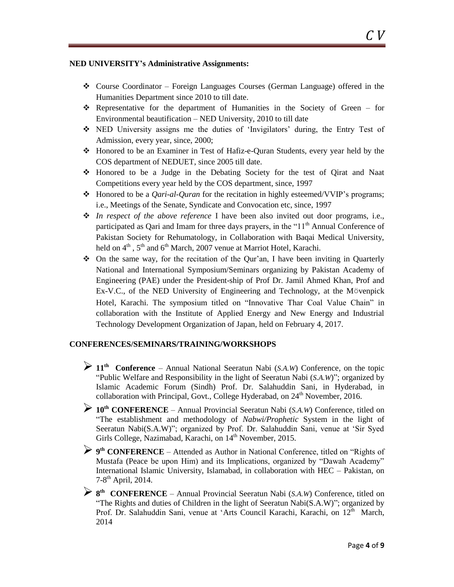### **NED UNIVERSITY's Administrative Assignments:**

- $\triangle$  Course Coordinator Foreign Languages Courses (German Language) offered in the Humanities Department since 2010 to till date.
- Representative for the department of Humanities in the Society of Green for Environmental beautification – NED University, 2010 to till date
- NED University assigns me the duties of "Invigilators" during, the Entry Test of Admission, every year, since, 2000;
- Honored to be an Examiner in Test of Hafiz-e-Quran Students, every year held by the COS department of NEDUET, since 2005 till date.
- Honored to be a Judge in the Debating Society for the test of Qirat and Naat Competitions every year held by the COS department, since, 1997
- Honored to be a *Qari-al-Quran* for the recitation in highly esteemed/VVIP"s programs; i.e., Meetings of the Senate, Syndicate and Convocation etc, since, 1997
- *In respect of the above reference* I have been also invited out door programs, i.e., participated as Oari and Imam for three days prayers, in the " $11<sup>th</sup>$  Annual Conference of Pakistan Society for Rehumatology, in Collaboration with Baqai Medical University, held on  $4<sup>th</sup>$ ,  $5<sup>th</sup>$  and  $6<sup>th</sup>$  March, 2007 venue at Marriot Hotel, Karachi.
- $\bullet$  On the same way, for the recitation of the Our'an, I have been inviting in Quarterly National and International Symposium/Seminars organizing by Pakistan Academy of Engineering (PAE) under the President-ship of Prof Dr. Jamil Ahmed Khan, Prof and Ex-V.C., of the NED University of Engineering and Technology, at the Mövenpick Hotel, Karachi. The symposium titled on "Innovative Thar Coal Value Chain" in collaboration with the Institute of Applied Energy and New Energy and Industrial Technology Development Organization of Japan, held on February 4, 2017.

## **CONFERENCES/SEMINARS/TRAINING/WORKSHOPS**

- **<sup>11</sup>th Conference**  Annual National Seeratun Nabi (*S.A.W*) Conference, on the topic "Public Welfare and Responsibility in the light of Seeratun Nabi (*S.A.W*)"; organized by Islamic Academic Forum (Sindh) Prof. Dr. Salahuddin Sani, in Hyderabad, in collaboration with Principal, Govt., College Hyderabad, on  $24<sup>th</sup>$  November, 2016.
- **<sup>10</sup>th CONFERENCE** Annual Provincial Seeratun Nabi (*S.A.W*) Conference, titled on "The establishment and methodology of *Nabwi/Prophetic* System in the light of Seeratun Nabi(S.A.W)"; organized by Prof. Dr. Salahuddin Sani, venue at "Sir Syed Girls College, Nazimabad, Karachi, on  $14<sup>th</sup>$  November, 2015.
- **<sup>9</sup> th CONFERENCE** Attended as Author in National Conference, titled on "Rights of Mustafa (Peace be upon Him) and its Implications, organized by "Dawah Academy" International Islamic University, Islamabad, in collaboration with HEC – Pakistan, on 7-8 th April, 2014.
- **<sup>8</sup> th CONFERENCE** Annual Provincial Seeratun Nabi (*S.A.W*) Conference, titled on "The Rights and duties of Children in the light of Seeratun Nabi(S.A.W)"; organized by Prof. Dr. Salahuddin Sani, venue at 'Arts Council Karachi, Karachi, on 12<sup>th</sup> March, 2014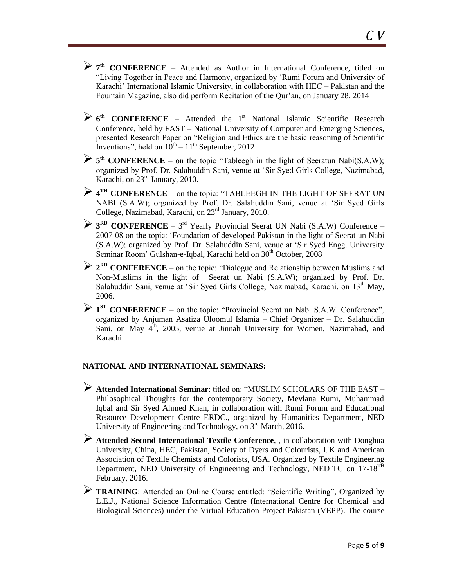- **<sup>7</sup> th CONFERENCE** Attended as Author in International Conference, titled on "Living Together in Peace and Harmony, organized by "Rumi Forum and University of Karachi' International Islamic University, in collaboration with HEC – Pakistan and the
- **6<sup>th</sup> CONFERENCE** Attended the 1<sup>st</sup> National Islamic Scientific Research Conference, held by FAST – National University of Computer and Emerging Sciences, presented Research Paper on "Religion and Ethics are the basic reasoning of Scientific Inventions", held on  $10^{th} - 11^{th}$  September, 2012

Fountain Magazine, also did perform Recitation of the Qur'an, on January 28, 2014

- **<sup>5</sup> th CONFERENCE** on the topic "Tableegh in the light of Seeratun Nabi(S.A.W); organized by Prof. Dr. Salahuddin Sani, venue at "Sir Syed Girls College, Nazimabad, Karachi, on 23rd January, 2010.
- **<sup>4</sup> TH CONFERENCE** on the topic: "TABLEEGH IN THE LIGHT OF SEERAT UN NABI (S.A.W); organized by Prof. Dr. Salahuddin Sani, venue at "Sir Syed Girls College, Nazimabad, Karachi, on 23<sup>rd</sup> January, 2010.
- <sup>2</sup> **3**<sup>RD</sup> **CONFERENCE** 3<sup>rd</sup> Yearly Provincial Seerat UN Nabi (S.A.W) Conference 2007-08 on the topic: "Foundation of developed Pakistan in the light of Seerat un Nabi (S.A.W); organized by Prof. Dr. Salahuddin Sani, venue at "Sir Syed Engg. University Seminar Room' Gulshan-e-Iqbal, Karachi held on 30<sup>th</sup> October, 2008
- **<sup>2</sup> RD CONFERENCE** on the topic: "Dialogue and Relationship between Muslims and Non-Muslims in the light of Seerat un Nabi (S.A.W); organized by Prof. Dr. Salahuddin Sani, venue at 'Sir Syed Girls College, Nazimabad, Karachi, on  $13<sup>th</sup>$  May, 2006.
- <sup>1</sup> **1**<sup>ST</sup> **CONFERENCE** on the topic: "Provincial Seerat un Nabi S.A.W. Conference", organized by Anjuman Asatiza Uloomul Islamia – Chief Organizer – Dr. Salahuddin Sani, on May 4<sup>th</sup>, 2005, venue at Jinnah University for Women, Nazimabad, and Karachi.

# **NATIONAL AND INTERNATIONAL SEMINARS:**

- **Attended International Seminar**: titled on: "MUSLIM SCHOLARS OF THE EAST Philosophical Thoughts for the contemporary Society, Mevlana Rumi, Muhammad Iqbal and Sir Syed Ahmed Khan, in collaboration with Rumi Forum and Educational Resource Development Centre ERDC., organized by Humanities Department, NED University of Engineering and Technology, on 3<sup>rd</sup> March, 2016.
- **Attended Second International Textile Conference**, , in collaboration with Donghua University, China, HEC, Pakistan, Society of Dyers and Colourists, UK and American Association of Textile Chemists and Colorists, USA. Organized by Textile Engineering Department, NED University of Engineering and Technology, NEDITC on 17-18<sup>TH</sup> February, 2016.
- **TRAINING**: Attended an Online Course entitled: "Scientific Writing", Organized by L.E.J., National Science Information Centre (International Centre for Chemical and Biological Sciences) under the Virtual Education Project Pakistan (VEPP). The course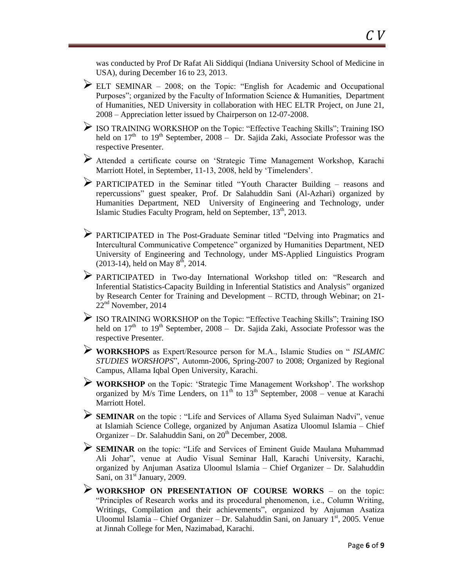was conducted by Prof Dr Rafat Ali Siddiqui (Indiana University School of Medicine in USA), during December 16 to 23, 2013.

- ELT SEMINAR 2008; on the Topic: "English for Academic and Occupational Purposes"; organized by the Faculty of Information Science & Humanities, Department of Humanities, NED University in collaboration with HEC ELTR Project, on June 21, 2008 – Appreciation letter issued by Chairperson on 12-07-2008.
- ISO TRAINING WORKSHOP on the Topic: "Effective Teaching Skills"; Training ISO held on  $17<sup>th</sup>$  to  $19<sup>th</sup>$  September, 2008 – Dr. Sajida Zaki, Associate Professor was the respective Presenter.
- Attended a certificate course on "Strategic Time Management Workshop, Karachi Marriott Hotel, in September, 11-13, 2008, held by 'Timelenders'.
- PARTICIPATED in the Seminar titled "Youth Character Building reasons and repercussions" guest speaker, Prof. Dr Salahuddin Sani (Al-Azhari) organized by Humanities Department, NED University of Engineering and Technology, under Islamic Studies Faculty Program, held on September,  $13<sup>th</sup>$ , 2013.
- PARTICIPATED in The Post-Graduate Seminar titled "Delving into Pragmatics and Intercultural Communicative Competence" organized by Humanities Department, NED University of Engineering and Technology, under MS-Applied Linguistics Program  $(2013-14)$ , held on May  $8<sup>th</sup>$ , 2014.
- PARTICIPATED in Two-day International Workshop titled on: "Research and Inferential Statistics-Capacity Building in Inferential Statistics and Analysis" organized by Research Center for Training and Development – RCTD, through Webinar; on 21- 22nd November, 2014
- $\triangleright$  ISO TRAINING WORKSHOP on the Topic: "Effective Teaching Skills"; Training ISO held on  $17<sup>th</sup>$  to  $19<sup>th</sup>$  September, 2008 – Dr. Sajida Zaki, Associate Professor was the respective Presenter.
- **WORKSHOPS** as Expert/Resource person for M.A., Islamic Studies on " *ISLAMIC STUDIES WORSHOPS*", Automn-2006, Spring-2007 to 2008; Organized by Regional Campus, Allama Iqbal Open University, Karachi.
- **WORKSHOP** on the Topic: "Strategic Time Management Workshop". The workshop organized by M/s Time Lenders, on  $11<sup>th</sup>$  to  $13<sup>th</sup>$  September, 2008 – venue at Karachi Marriott Hotel.
- **SEMINAR** on the topic : "Life and Services of Allama Syed Sulaiman Nadvi", venue at Islamiah Science College, organized by Anjuman Asatiza Uloomul Islamia – Chief Organizer – Dr. Salahuddin Sani, on  $20<sup>th</sup>$  December, 2008.
- **SEMINAR** on the topic: "Life and Services of Eminent Guide Maulana Muhammad Ali Johar", venue at Audio Visual Seminar Hall, Karachi University, Karachi, organized by Anjuman Asatiza Uloomul Islamia – Chief Organizer – Dr. Salahuddin Sani, on  $31<sup>st</sup>$  January, 2009.
- **WORKSHOP ON PRESENTATION OF COURSE WORKS** on the topic: "Principles of Research works and its procedural phenomenon, i.e., Column Writing, Writings, Compilation and their achievements", organized by Anjuman Asatiza Uloomul Islamia – Chief Organizer – Dr. Salahuddin Sani, on January 1<sup>st</sup>, 2005. Venue at Jinnah College for Men, Nazimabad, Karachi.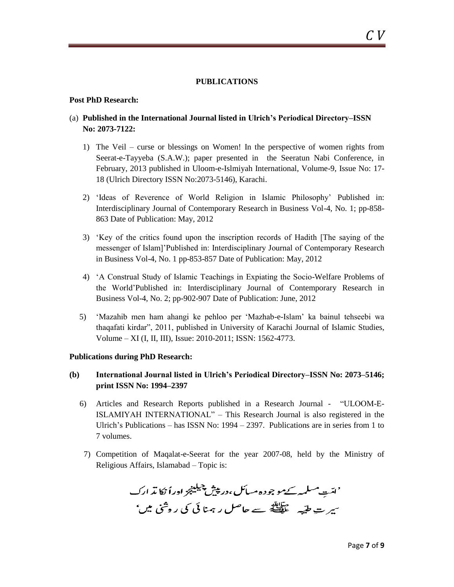#### **PUBLICATIONS**

#### **Post PhD Research:**

## (a) **Published in the International Journal listed in Ulrich's Periodical Directory–ISSN No: 2073-7122:**

- 1) The Veil curse or blessings on Women! In the perspective of women rights from Seerat-e-Tayyeba (S.A.W.); paper presented in the Seeratun Nabi Conference, in February, 2013 published in Uloom-e-Islmiyah International, Volume-9, Issue No: 17- 18 (Ulrich Directory ISSN No:2073-5146), Karachi.
- 2) "Ideas of Reverence of World Religion in Islamic Philosophy" Published in: Interdisciplinary Journal of Contemporary Research in Business Vol-4, No. 1; pp-858- 863 Date of Publication: May, 2012
- 3) "Key of the critics found upon the inscription records of Hadith [The saying of the messenger of Islam]"Published in: Interdisciplinary Journal of Contemporary Research in Business Vol-4, No. 1 pp-853-857 Date of Publication: May, 2012
- 4) "A Construal Study of Islamic Teachings in Expiating the Socio-Welfare Problems of the World"Published in: Interdisciplinary Journal of Contemporary Research in Business Vol-4, No. 2; pp-902-907 Date of Publication: June, 2012
- 5) "Mazahib men ham ahangi ke pehloo per "Mazhab-e-Islam" ka bainul tehseebi wa thaqafati kirdar", 2011, published in University of Karachi Journal of Islamic Studies, Volume – XI (I, II, III), Issue: 2010-2011; ISSN: 1562-4773.

#### **Publications during PhD Research:**

## **(b) International Journal listed in Ulrich's Periodical Directory–ISSN No: 2073–5146; print ISSN No: 1994–2397**

- 6) Articles and Research Reports published in a Research Journal "ULOOM-E-ISLAMIYAH INTERNATIONAL" – This Research Journal is also registered in the Ulrich"s Publications – has ISSN No: 1994 – 2397. Publications are in series from 1 to 7 volumes.
- 7) Competition of Maqalat-e-Seerat for the year 2007-08, held by the Ministry of Religious Affairs, Islamabad – Topic is:

'امّت مسلمہ کے موجودہ مسائل،در پیش چیلینج اوراُ نکا پڈ ارک سپر ت طیّہ علی ہے حاصل رہنا ئی کی روشی میں'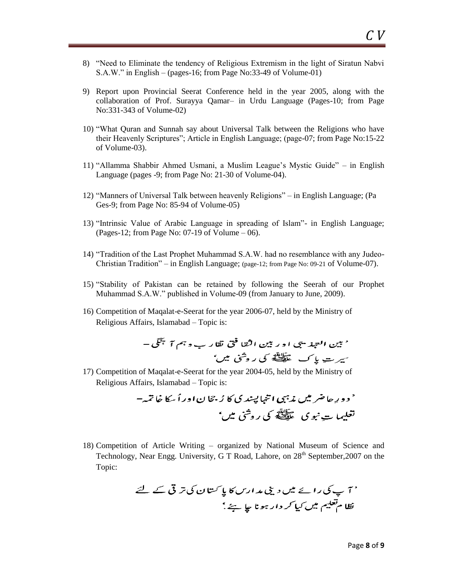- 8) "Need to Eliminate the tendency of Religious Extremism in the light of Siratun Nabvi S.A.W." in English – (pages-16; from Page No:33-49 of Volume-01)
- 9) Report upon Provincial Seerat Conference held in the year 2005, along with the collaboration of Prof. Surayya Qamar– in Urdu Language (Pages-10; from Page No:331-343 of Volume-02)
- 10) "What Quran and Sunnah say about Universal Talk between the Religions who have their Heavenly Scriptures"; Article in English Language; (page-07; from Page No:15-22 of Volume-03).
- 11) "Allamma Shabbir Ahmed Usmani, a Muslim League"s Mystic Guide" in English Language (pages -9; from Page No: 21-30 of Volume-04).
- 12) "Manners of Universal Talk between heavenly Religions" in English Language; (Pa Ges-9; from Page No: 85-94 of Volume-05)
- 13) "Intrinsic Value of Arabic Language in spreading of Islam"- in English Language; (Pages-12; from Page No: 07-19 of Volume – 06).
- 14) "Tradition of the Last Prophet Muhammad S.A.W. had no resemblance with any Judeo-Christian Tradition" – in English Language; (page-12; from Page No: 09-21 of Volume-07).
- 15) "Stability of Pakistan can be retained by following the Seerah of our Prophet Muhammad S.A.W." published in Volume-09 (from January to June, 2009).
- 16) Competition of Maqalat-e-Seerat for the year 2006-07, held by the Ministry of Religious Affairs, Islamabad – Topic is:

17) Competition of Maqalat-e-Seerat for the year 2004-05, held by the Ministry of Religious Affairs, Islamabad – Topic is:

18) Competition of Article Writing – organized by National Museum of Science and Technology, Near Engg. University, G T Road, Lahore, on 28<sup>th</sup> September, 2007 on the Topic: